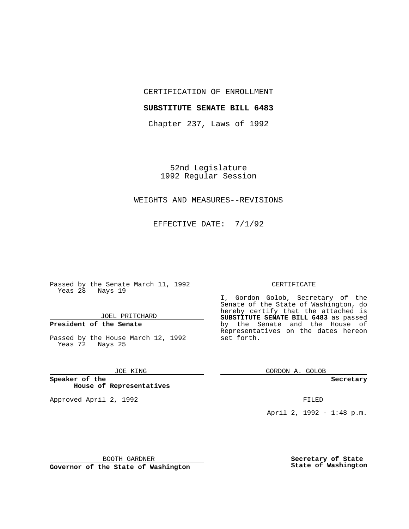# CERTIFICATION OF ENROLLMENT

## **SUBSTITUTE SENATE BILL 6483**

Chapter 237, Laws of 1992

52nd Legislature 1992 Regular Session

## WEIGHTS AND MEASURES--REVISIONS

EFFECTIVE DATE: 7/1/92

Passed by the Senate March 11, 1992 Yeas 28 Nays 19

# JOEL PRITCHARD

# **President of the Senate**

Passed by the House March 12, 1992 Yeas 72 Nays 25

### JOE KING

## **Speaker of the House of Representatives**

Approved April 2, 1992 **FILED** 

### CERTIFICATE

I, Gordon Golob, Secretary of the Senate of the State of Washington, do hereby certify that the attached is **SUBSTITUTE SENATE BILL 6483** as passed by the Senate and the House of Representatives on the dates hereon set forth.

GORDON A. GOLOB

**Secretary**

April 2, 1992 - 1:48 p.m.

BOOTH GARDNER

**Governor of the State of Washington**

**Secretary of State State of Washington**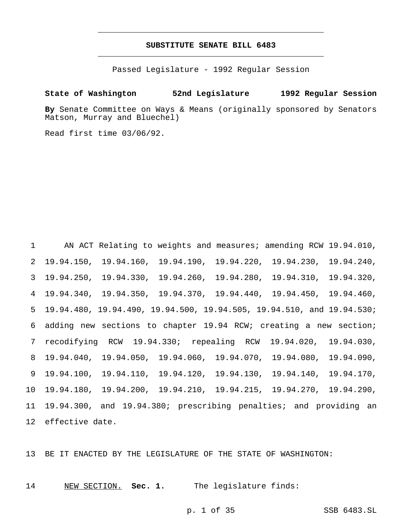# **SUBSTITUTE SENATE BILL 6483** \_\_\_\_\_\_\_\_\_\_\_\_\_\_\_\_\_\_\_\_\_\_\_\_\_\_\_\_\_\_\_\_\_\_\_\_\_\_\_\_\_\_\_\_\_\_\_

\_\_\_\_\_\_\_\_\_\_\_\_\_\_\_\_\_\_\_\_\_\_\_\_\_\_\_\_\_\_\_\_\_\_\_\_\_\_\_\_\_\_\_\_\_\_\_

Passed Legislature - 1992 Regular Session

# **State of Washington 52nd Legislature 1992 Regular Session**

**By** Senate Committee on Ways & Means (originally sponsored by Senators Matson, Murray and Bluechel)

Read first time 03/06/92.

 AN ACT Relating to weights and measures; amending RCW 19.94.010, 19.94.150, 19.94.160, 19.94.190, 19.94.220, 19.94.230, 19.94.240, 19.94.250, 19.94.330, 19.94.260, 19.94.280, 19.94.310, 19.94.320, 19.94.340, 19.94.350, 19.94.370, 19.94.440, 19.94.450, 19.94.460, 19.94.480, 19.94.490, 19.94.500, 19.94.505, 19.94.510, and 19.94.530; adding new sections to chapter 19.94 RCW; creating a new section; recodifying RCW 19.94.330; repealing RCW 19.94.020, 19.94.030, 19.94.040, 19.94.050, 19.94.060, 19.94.070, 19.94.080, 19.94.090, 19.94.100, 19.94.110, 19.94.120, 19.94.130, 19.94.140, 19.94.170, 19.94.180, 19.94.200, 19.94.210, 19.94.215, 19.94.270, 19.94.290, 19.94.300, and 19.94.380; prescribing penalties; and providing an effective date.

BE IT ENACTED BY THE LEGISLATURE OF THE STATE OF WASHINGTON:

NEW SECTION. **Sec. 1.** The legislature finds: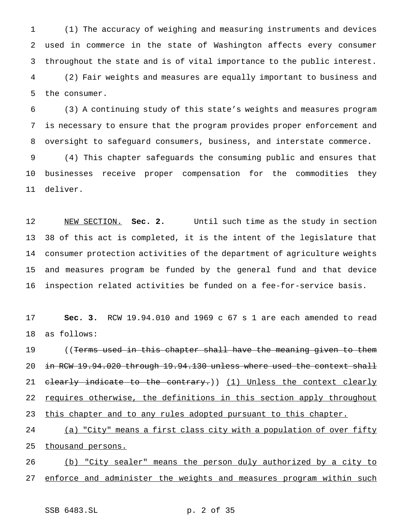(1) The accuracy of weighing and measuring instruments and devices used in commerce in the state of Washington affects every consumer throughout the state and is of vital importance to the public interest. (2) Fair weights and measures are equally important to business and the consumer.

 (3) A continuing study of this state's weights and measures program is necessary to ensure that the program provides proper enforcement and oversight to safeguard consumers, business, and interstate commerce. (4) This chapter safeguards the consuming public and ensures that businesses receive proper compensation for the commodities they

deliver.

 NEW SECTION. **Sec. 2.** Until such time as the study in section 38 of this act is completed, it is the intent of the legislature that consumer protection activities of the department of agriculture weights and measures program be funded by the general fund and that device inspection related activities be funded on a fee-for-service basis.

 **Sec. 3.** RCW 19.94.010 and 1969 c 67 s 1 are each amended to read as follows:

19 ((Terms used in this chapter shall have the meaning given to them 20 in RCW 19.94.020 through 19.94.130 unless where used the context shall 21 clearly indicate to the contrary.)) (1) Unless the context clearly 22 requires otherwise, the definitions in this section apply throughout 23 this chapter and to any rules adopted pursuant to this chapter.

24 (a) "City" means a first class city with a population of over fifty 25 thousand persons.

 (b) "City sealer" means the person duly authorized by a city to enforce and administer the weights and measures program within such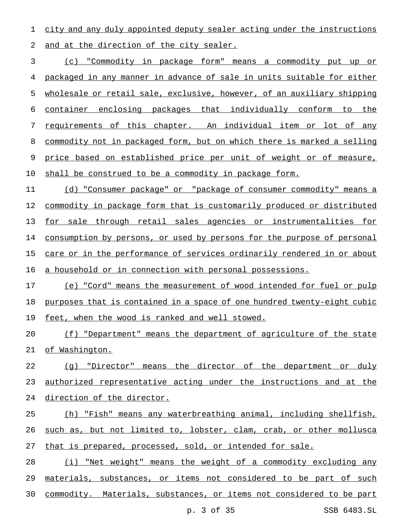city and any duly appointed deputy sealer acting under the instructions 2 and at the direction of the city sealer.

 (c) "Commodity in package form" means a commodity put up or packaged in any manner in advance of sale in units suitable for either wholesale or retail sale, exclusive, however, of an auxiliary shipping container enclosing packages that individually conform to the requirements of this chapter. An individual item or lot of any commodity not in packaged form, but on which there is marked a selling price based on established price per unit of weight or of measure, shall be construed to be a commodity in package form.

 (d) "Consumer package" or "package of consumer commodity" means a 12 commodity in package form that is customarily produced or distributed for sale through retail sales agencies or instrumentalities for 14 consumption by persons, or used by persons for the purpose of personal 15 care or in the performance of services ordinarily rendered in or about a household or in connection with personal possessions.

 (e) "Cord" means the measurement of wood intended for fuel or pulp purposes that is contained in a space of one hundred twenty-eight cubic 19 feet, when the wood is ranked and well stowed.

20 (f) "Department" means the department of agriculture of the state of Washington.

 (g) "Director" means the director of the department or duly authorized representative acting under the instructions and at the direction of the director.

 (h) "Fish" means any waterbreathing animal, including shellfish, such as, but not limited to, lobster, clam, crab, or other mollusca that is prepared, processed, sold, or intended for sale.

28 (i) "Net weight" means the weight of a commodity excluding any materials, substances, or items not considered to be part of such commodity. Materials, substances, or items not considered to be part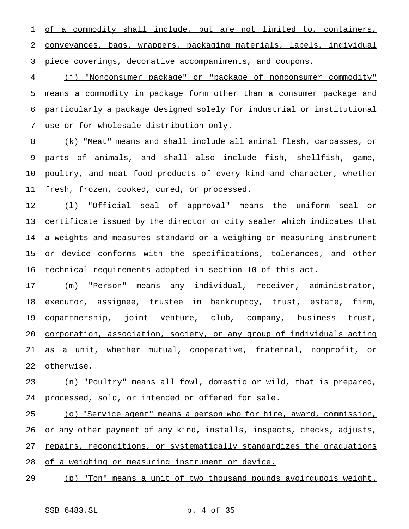of a commodity shall include, but are not limited to, containers, conveyances, bags, wrappers, packaging materials, labels, individual piece coverings, decorative accompaniments, and coupons.

 (j) "Nonconsumer package" or "package of nonconsumer commodity" means a commodity in package form other than a consumer package and particularly a package designed solely for industrial or institutional use or for wholesale distribution only.

 (k) "Meat" means and shall include all animal flesh, carcasses, or parts of animals, and shall also include fish, shellfish, game, 10 poultry, and meat food products of every kind and character, whether fresh, frozen, cooked, cured, or processed.

 (l) "Official seal of approval" means the uniform seal or certificate issued by the director or city sealer which indicates that 14 a weights and measures standard or a weighing or measuring instrument 15 or device conforms with the specifications, tolerances, and other technical requirements adopted in section 10 of this act.

 (m) "Person" means any individual, receiver, administrator, 18 executor, assignee, trustee in bankruptcy, trust, estate, firm, copartnership, joint venture, club, company, business trust, corporation, association, society, or any group of individuals acting 21 as a unit, whether mutual, cooperative, fraternal, nonprofit, or otherwise.

 (n) "Poultry" means all fowl, domestic or wild, that is prepared, processed, sold, or intended or offered for sale.

 (o) "Service agent" means a person who for hire, award, commission, or any other payment of any kind, installs, inspects, checks, adjusts, repairs, reconditions, or systematically standardizes the graduations

28 of a weighing or measuring instrument or device.

(p) "Ton" means a unit of two thousand pounds avoirdupois weight.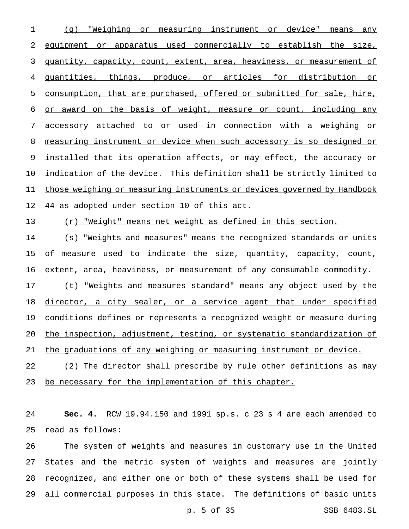(q) "Weighing or measuring instrument or device" means any 2 equipment or apparatus used commercially to establish the size, quantity, capacity, count, extent, area, heaviness, or measurement of quantities, things, produce, or articles for distribution or consumption, that are purchased, offered or submitted for sale, hire, or award on the basis of weight, measure or count, including any accessory attached to or used in connection with a weighing or measuring instrument or device when such accessory is so designed or 9 installed that its operation affects, or may effect, the accuracy or indication of the device. This definition shall be strictly limited to those weighing or measuring instruments or devices governed by Handbook 44 as adopted under section 10 of this act.

(r) "Weight" means net weight as defined in this section.

 (s) "Weights and measures" means the recognized standards or units 15 of measure used to indicate the size, quantity, capacity, count, extent, area, heaviness, or measurement of any consumable commodity.

17 (t) "Weights and measures standard" means any object used by the 18 director, a city sealer, or a service agent that under specified conditions defines or represents a recognized weight or measure during the inspection, adjustment, testing, or systematic standardization of the graduations of any weighing or measuring instrument or device.

 (2) The director shall prescribe by rule other definitions as may 23 be necessary for the implementation of this chapter.

 **Sec. 4.** RCW 19.94.150 and 1991 sp.s. c 23 s 4 are each amended to read as follows:

 The system of weights and measures in customary use in the United States and the metric system of weights and measures are jointly recognized, and either one or both of these systems shall be used for all commercial purposes in this state. The definitions of basic units

p. 5 of 35 SSB 6483.SL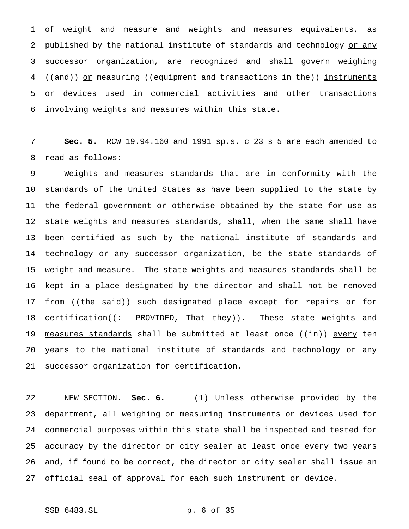of weight and measure and weights and measures equivalents, as 2 published by the national institute of standards and technology or any successor organization, are recognized and shall govern weighing 4 ((and)) <u>or</u> measuring ((equipment and transactions in the)) instruments or devices used in commercial activities and other transactions involving weights and measures within this state.

7 **Sec. 5.** RCW 19.94.160 and 1991 sp.s. c 23 s 5 are each amended to 8 read as follows:

9 Weights and measures standards that are in conformity with the 10 standards of the United States as have been supplied to the state by 11 the federal government or otherwise obtained by the state for use as 12 state weights and measures standards, shall, when the same shall have 13 been certified as such by the national institute of standards and 14 technology or any successor organization, be the state standards of 15 weight and measure. The state weights and measures standards shall be 16 kept in a place designated by the director and shall not be removed 17 from ((the said)) such designated place except for repairs or for 18 certification((: PROVIDED, That they)). These state weights and 19 measures standards shall be submitted at least once ((in)) every ten 20 years to the national institute of standards and technology or any 21 successor organization for certification.

 NEW SECTION. **Sec. 6.** (1) Unless otherwise provided by the department, all weighing or measuring instruments or devices used for commercial purposes within this state shall be inspected and tested for accuracy by the director or city sealer at least once every two years and, if found to be correct, the director or city sealer shall issue an official seal of approval for each such instrument or device.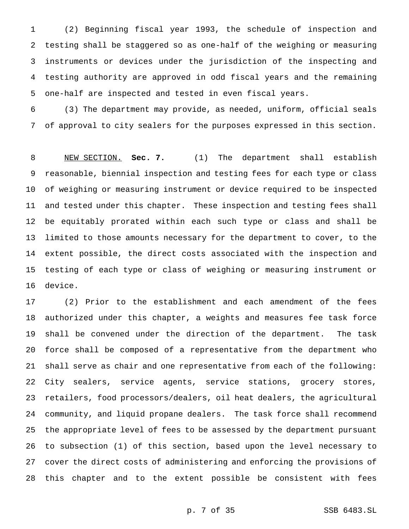(2) Beginning fiscal year 1993, the schedule of inspection and testing shall be staggered so as one-half of the weighing or measuring instruments or devices under the jurisdiction of the inspecting and testing authority are approved in odd fiscal years and the remaining one-half are inspected and tested in even fiscal years.

 (3) The department may provide, as needed, uniform, official seals of approval to city sealers for the purposes expressed in this section.

 NEW SECTION. **Sec. 7.** (1) The department shall establish reasonable, biennial inspection and testing fees for each type or class of weighing or measuring instrument or device required to be inspected and tested under this chapter. These inspection and testing fees shall be equitably prorated within each such type or class and shall be limited to those amounts necessary for the department to cover, to the extent possible, the direct costs associated with the inspection and testing of each type or class of weighing or measuring instrument or device.

 (2) Prior to the establishment and each amendment of the fees authorized under this chapter, a weights and measures fee task force shall be convened under the direction of the department. The task force shall be composed of a representative from the department who shall serve as chair and one representative from each of the following: City sealers, service agents, service stations, grocery stores, retailers, food processors/dealers, oil heat dealers, the agricultural community, and liquid propane dealers. The task force shall recommend the appropriate level of fees to be assessed by the department pursuant to subsection (1) of this section, based upon the level necessary to cover the direct costs of administering and enforcing the provisions of this chapter and to the extent possible be consistent with fees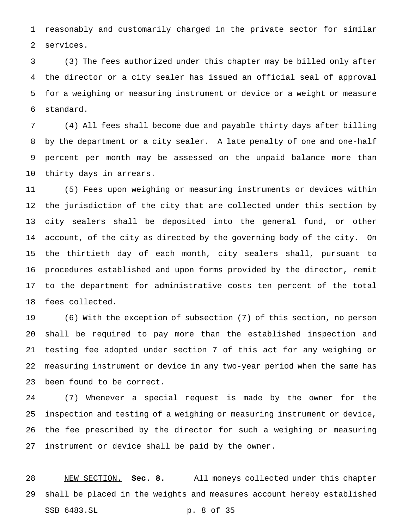reasonably and customarily charged in the private sector for similar services.

 (3) The fees authorized under this chapter may be billed only after the director or a city sealer has issued an official seal of approval for a weighing or measuring instrument or device or a weight or measure standard.

 (4) All fees shall become due and payable thirty days after billing by the department or a city sealer. A late penalty of one and one-half percent per month may be assessed on the unpaid balance more than thirty days in arrears.

 (5) Fees upon weighing or measuring instruments or devices within the jurisdiction of the city that are collected under this section by city sealers shall be deposited into the general fund, or other account, of the city as directed by the governing body of the city. On the thirtieth day of each month, city sealers shall, pursuant to procedures established and upon forms provided by the director, remit to the department for administrative costs ten percent of the total fees collected.

 (6) With the exception of subsection (7) of this section, no person shall be required to pay more than the established inspection and testing fee adopted under section 7 of this act for any weighing or measuring instrument or device in any two-year period when the same has been found to be correct.

 (7) Whenever a special request is made by the owner for the inspection and testing of a weighing or measuring instrument or device, the fee prescribed by the director for such a weighing or measuring instrument or device shall be paid by the owner.

 NEW SECTION. **Sec. 8.** All moneys collected under this chapter shall be placed in the weights and measures account hereby established SSB 6483.SL p. 8 of 35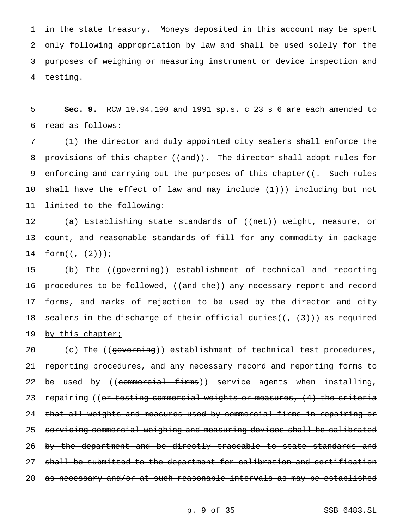in the state treasury. Moneys deposited in this account may be spent only following appropriation by law and shall be used solely for the purposes of weighing or measuring instrument or device inspection and 4 testing.

5 **Sec. 9.** RCW 19.94.190 and 1991 sp.s. c 23 s 6 are each amended to 6 read as follows:

7 (1) The director and duly appointed city sealers shall enforce the 8 provisions of this chapter ((and)). The director shall adopt rules for 9 enforcing and carrying out the purposes of this chapter((<del>. Such rules</del> 10 shall have the effect of law and may include (1))) including but not 11 <del>limited to the following:</del>

12 (a) Establishing state standards of ((net)) weight, measure, or 13 count, and reasonable standards of fill for any commodity in package 14  $form(( - (2)) )$ 

15 (b) The ((governing)) establishment of technical and reporting 16 procedures to be followed, ((and the)) any necessary report and record 17 forms, and marks of rejection to be used by the director and city 18 sealers in the discharge of their official duties( $(\frac{1}{1} + \frac{1}{3})$ ) as required 19 by this chapter;

20 (c) The ((governing)) establishment of technical test procedures, 21 reporting procedures, and any necessary record and reporting forms to 22 be used by ((commercial firms)) service agents when installing, 23 repairing ((<del>or testing commercial weights or measures, (4) the criteria</del> 24 that all weights and measures used by commercial firms in repairing or 25 servicing commercial weighing and measuring devices shall be calibrated 26 by the department and be directly traceable to state standards and 27 shall be submitted to the department for calibration and certification 28 as necessary and/or at such reasonable intervals as may be established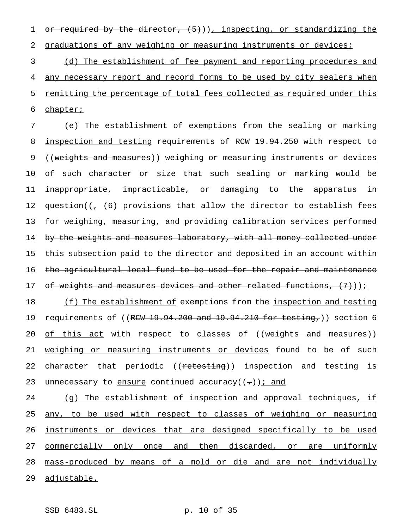1 or required by the director,  $(5)$ )), inspecting, or standardizing the 2 graduations of any weighing or measuring instruments or devices;

3 (d) The establishment of fee payment and reporting procedures and 4 any necessary report and record forms to be used by city sealers when 5 remitting the percentage of total fees collected as required under this 6 chapter;

7 (e) The establishment of exemptions from the sealing or marking 8 inspection and testing requirements of RCW 19.94.250 with respect to 9 ((weights and measures)) weighing or measuring instruments or devices 10 of such character or size that such sealing or marking would be 11 inappropriate, impracticable, or damaging to the apparatus in 12 question((<del>, (6) provisions that allow the director to establish fees</del> 13 for weighing, measuring, and providing calibration services performed 14 by the weights and measures laboratory, with all money collected under 15 this subsection paid to the director and deposited in an account within 16 the agricultural local fund to be used for the repair and maintenance 17 of weights and measures devices and other related functions,  $(7)$ ));

18 (f) The establishment of exemptions from the inspection and testing 19 requirements of ((RCW 19.94.200 and 19.94.210 for testing,)) section 6 20 of this act with respect to classes of ((weights and measures)) 21 weighing or measuring instruments or devices found to be of such 22 character that periodic ((retesting)) inspection and testing is 23 unnecessary to ensure continued accuracy( $(-)$ ) i and

24 (g) The establishment of inspection and approval techniques, if 25 any, to be used with respect to classes of weighing or measuring 26 instruments or devices that are designed specifically to be used 27 commercially only once and then discarded, or are uniformly 28 mass-produced by means of a mold or die and are not individually 29 adjustable.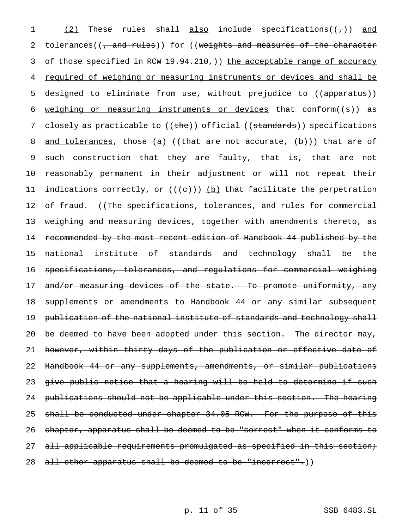1  $(2)$  These rules shall also include specifications( $(\tau)$ ) and 2 tolerances( $(\tau$  and rules)) for ((weights and measures of the character 3 of those specified in RCW 19.94.210,) the acceptable range of accuracy 4 required of weighing or measuring instruments or devices and shall be 5 designed to eliminate from use, without prejudice to ((apparatus)) 6 weighing or measuring instruments or devices that conform((s)) as 7 closely as practicable to ((the)) official ((standards)) specifications 8 <u>and tolerances</u>, those (a) ((that are not accurate,  $(b)$ )) that are of 9 such construction that they are faulty, that is, that are not 10 reasonably permanent in their adjustment or will not repeat their 11 indications correctly, or  $((e+))$  (b) that facilitate the perpetration 12 of fraud. ((The specifications, tolerances, and rules for commercial 13 weighing and measuring devices, together with amendments thereto, as 14 recommended by the most recent edition of Handbook 44 published by the 15 national institute of standards and technology shall be the 16 specifications, tolerances, and regulations for commercial weighing 17 and/or measuring devices of the state. To promote uniformity, any 18 supplements or amendments to Handbook 44 or any similar subsequent 19 publication of the national institute of standards and technology shall 20 be deemed to have been adopted under this section. The director may, 21 however, within thirty days of the publication or effective date of 22 Handbook 44 or any supplements, amendments, or similar publications 23 give public notice that a hearing will be held to determine if such 24 publications should not be applicable under this section. The hearing 25 shall be conducted under chapter 34.05 RCW. For the purpose of this 26 chapter, apparatus shall be deemed to be "correct" when it conforms to 27 all applicable requirements promulgated as specified in this section; 28 all other apparatus shall be deemed to be "incorrect".))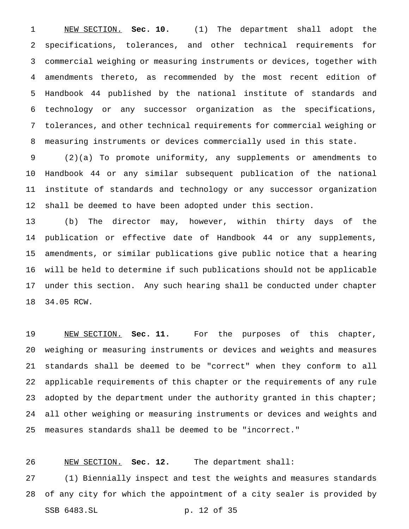NEW SECTION. **Sec. 10.** (1) The department shall adopt the specifications, tolerances, and other technical requirements for commercial weighing or measuring instruments or devices, together with amendments thereto, as recommended by the most recent edition of Handbook 44 published by the national institute of standards and technology or any successor organization as the specifications, tolerances, and other technical requirements for commercial weighing or measuring instruments or devices commercially used in this state.

 (2)(a) To promote uniformity, any supplements or amendments to Handbook 44 or any similar subsequent publication of the national institute of standards and technology or any successor organization shall be deemed to have been adopted under this section.

 (b) The director may, however, within thirty days of the publication or effective date of Handbook 44 or any supplements, amendments, or similar publications give public notice that a hearing will be held to determine if such publications should not be applicable under this section. Any such hearing shall be conducted under chapter 34.05 RCW.

 NEW SECTION. **Sec. 11.** For the purposes of this chapter, weighing or measuring instruments or devices and weights and measures standards shall be deemed to be "correct" when they conform to all applicable requirements of this chapter or the requirements of any rule 23 adopted by the department under the authority granted in this chapter; all other weighing or measuring instruments or devices and weights and measures standards shall be deemed to be "incorrect."

# NEW SECTION. **Sec. 12.** The department shall:

 (1) Biennially inspect and test the weights and measures standards of any city for which the appointment of a city sealer is provided by SSB 6483.SL p. 12 of 35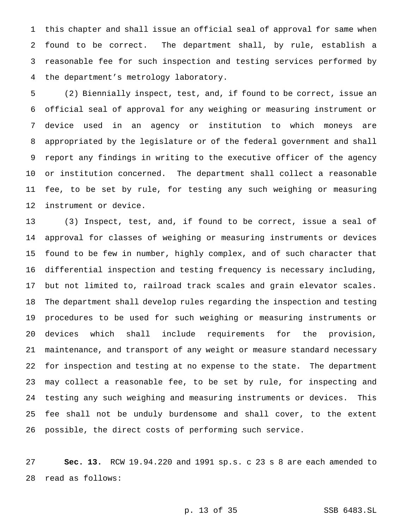this chapter and shall issue an official seal of approval for same when found to be correct. The department shall, by rule, establish a reasonable fee for such inspection and testing services performed by the department's metrology laboratory.

 (2) Biennially inspect, test, and, if found to be correct, issue an official seal of approval for any weighing or measuring instrument or device used in an agency or institution to which moneys are appropriated by the legislature or of the federal government and shall report any findings in writing to the executive officer of the agency or institution concerned. The department shall collect a reasonable fee, to be set by rule, for testing any such weighing or measuring instrument or device.

 (3) Inspect, test, and, if found to be correct, issue a seal of approval for classes of weighing or measuring instruments or devices found to be few in number, highly complex, and of such character that differential inspection and testing frequency is necessary including, but not limited to, railroad track scales and grain elevator scales. The department shall develop rules regarding the inspection and testing procedures to be used for such weighing or measuring instruments or devices which shall include requirements for the provision, maintenance, and transport of any weight or measure standard necessary for inspection and testing at no expense to the state. The department may collect a reasonable fee, to be set by rule, for inspecting and testing any such weighing and measuring instruments or devices. This fee shall not be unduly burdensome and shall cover, to the extent possible, the direct costs of performing such service.

 **Sec. 13.** RCW 19.94.220 and 1991 sp.s. c 23 s 8 are each amended to read as follows:

p. 13 of 35 SSB 6483.SL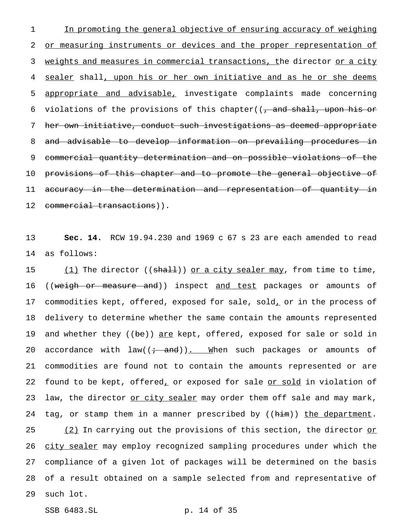1 In promoting the general objective of ensuring accuracy of weighing 2 or measuring instruments or devices and the proper representation of 3 weights and measures in commercial transactions, the director or a city 4 sealer shall, upon his or her own initiative and as he or she deems 5 appropriate and advisable, investigate complaints made concerning 6 violations of the provisions of this chapter( $\frac{1}{2}$  and shall, upon his or 7 her own initiative, conduct such investigations as deemed appropriate 8 and advisable to develop information on prevailing procedures in 9 commercial quantity determination and on possible violations of the 10 provisions of this chapter and to promote the general objective of 11 accuracy in the determination and representation of quantity in 12 commercial transactions)).

13 **Sec. 14.** RCW 19.94.230 and 1969 c 67 s 23 are each amended to read 14 as follows:

15 (1) The director (( $\frac{1}{1}$ ) or a city sealer may, from time to time, 16 ((weigh or measure and)) inspect and test packages or amounts of 17 commodities kept, offered, exposed for sale, sold, or in the process of 18 delivery to determine whether the same contain the amounts represented 19 and whether they ((be)) are kept, offered, exposed for sale or sold in 20 accordance with  $law((\div\ \theta)_{\cdot\cdot}$  When such packages or amounts of 21 commodities are found not to contain the amounts represented or are 22 found to be kept, offered, or exposed for sale or sold in violation of 23 law, the director <u>or city sealer</u> may order them off sale and may mark, 24 tag, or stamp them in a manner prescribed by  $((h\text{-}im))$  the department. 25  $(2)$  In carrying out the provisions of this section, the director or 26 city sealer may employ recognized sampling procedures under which the 27 compliance of a given lot of packages will be determined on the basis 28 of a result obtained on a sample selected from and representative of 29 such lot.

SSB 6483.SL p. 14 of 35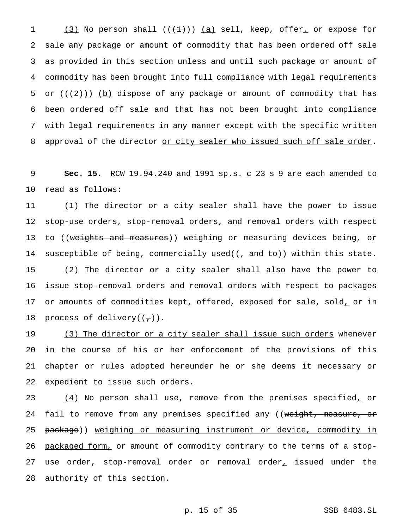$(3)$  No person shall  $((+1))$   $(a)$  sell, keep, offer, or expose for sale any package or amount of commodity that has been ordered off sale as provided in this section unless and until such package or amount of commodity has been brought into full compliance with legal requirements 5 or  $((2+))$  (b) dispose of any package or amount of commodity that has been ordered off sale and that has not been brought into compliance 7 with legal requirements in any manner except with the specific written 8 approval of the director or city sealer who issued such off sale order.

9 **Sec. 15.** RCW 19.94.240 and 1991 sp.s. c 23 s 9 are each amended to 10 read as follows:

11 (1) The director or a city sealer shall have the power to issue 12 stop-use orders, stop-removal orders, and removal orders with respect 13 to ((<del>weights and measures</del>)) <u>weighing or measuring devices</u> being, or 14 susceptible of being, commercially used(( $\frac{1}{2}$  and to)) within this state. 15 (2) The director or a city sealer shall also have the power to 16 issue stop-removal orders and removal orders with respect to packages 17 or amounts of commodities kept, offered, exposed for sale, sold, or in 18 process of delivery( $(\tau)$ ).

19 (3) The director or a city sealer shall issue such orders whenever in the course of his or her enforcement of the provisions of this chapter or rules adopted hereunder he or she deems it necessary or expedient to issue such orders.

23 (4) No person shall use, remove from the premises specified, or 24 fail to remove from any premises specified any ((weight, measure, or 25 package)) weighing or measuring instrument or device, commodity in 26 packaged form, or amount of commodity contrary to the terms of a stop-27 use order, stop-removal order or removal order, issued under the 28 authority of this section.

p. 15 of 35 SSB 6483.SL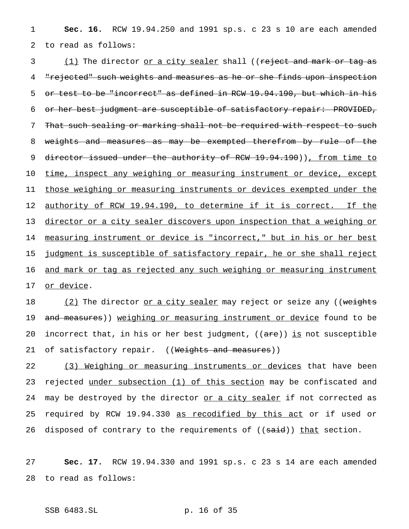1 **Sec. 16.** RCW 19.94.250 and 1991 sp.s. c 23 s 10 are each amended 2 to read as follows:

3 (1) The director <u>or a city sealer</u> shall ((reject and mark or tag as 4 "rejected" such weights and measures as he or she finds upon inspection 5 or test to be "incorrect" as defined in RCW 19.94.190, but which in his 6 or her best judgment are susceptible of satisfactory repair: PROVIDED, 7 That such sealing or marking shall not be required with respect to such 8 weights and measures as may be exempted therefrom by rule of the 9 director issued under the authority of RCW 19.94.190)), from time to 10 time, inspect any weighing or measuring instrument or device, except 11 those weighing or measuring instruments or devices exempted under the 12 authority of RCW 19.94.190, to determine if it is correct. If the 13 director or a city sealer discovers upon inspection that a weighing or 14 measuring instrument or device is "incorrect," but in his or her best 15 judgment is susceptible of satisfactory repair, he or she shall reject 16 and mark or tag as rejected any such weighing or measuring instrument 17 or device.

18 (2) The director or a city sealer may reject or seize any ((weights 19 and measures)) weighing or measuring instrument or device found to be 20 incorrect that, in his or her best judgment,  $((are))$  is not susceptible 21 of satisfactory repair. ((Weights and measures))

22 (3) Weighing or measuring instruments or devices that have been 23 rejected under subsection (1) of this section may be confiscated and 24 may be destroyed by the director or a city sealer if not corrected as 25 required by RCW 19.94.330 as recodified by this act or if used or 26 disposed of contrary to the requirements of ((said)) that section.

27 **Sec. 17.** RCW 19.94.330 and 1991 sp.s. c 23 s 14 are each amended 28 to read as follows:

SSB 6483.SL p. 16 of 35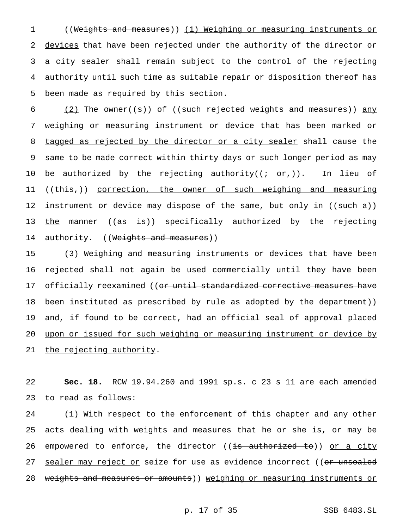((Weights and measures)) (1) Weighing or measuring instruments or 2 devices that have been rejected under the authority of the director or a city sealer shall remain subject to the control of the rejecting authority until such time as suitable repair or disposition thereof has been made as required by this section.

6  $(2)$  The owner((s)) of ((such rejected weights and measures)) any 7 weighing or measuring instrument or device that has been marked or 8 tagged as rejected by the director or a city sealer shall cause the 9 same to be made correct within thirty days or such longer period as may 10 be authorized by the rejecting authority( $(\vec{r} - \vec{\sigma}r)$ ). In lieu of 11 ((this,)) correction, the owner of such weighing and measuring 12 instrument or device may dispose of the same, but only in ((such a)) 13 the manner ((as is)) specifically authorized by the rejecting 14 authority. ((Weights and measures))

15 (3) Weighing and measuring instruments or devices that have been 16 rejected shall not again be used commercially until they have been 17 officially reexamined ((or until standardized corrective measures have 18 been instituted as prescribed by rule as adopted by the department)) 19 and, if found to be correct, had an official seal of approval placed 20 upon or issued for such weighing or measuring instrument or device by 21 the rejecting authority.

22 **Sec. 18.** RCW 19.94.260 and 1991 sp.s. c 23 s 11 are each amended 23 to read as follows:

24 (1) With respect to the enforcement of this chapter and any other 25 acts dealing with weights and measures that he or she is, or may be 26 empowered to enforce, the director ((<del>is authorized to</del>)) or a city 27 sealer may reject or seize for use as evidence incorrect ((or unsealed 28 weights and measures or amounts)) weighing or measuring instruments or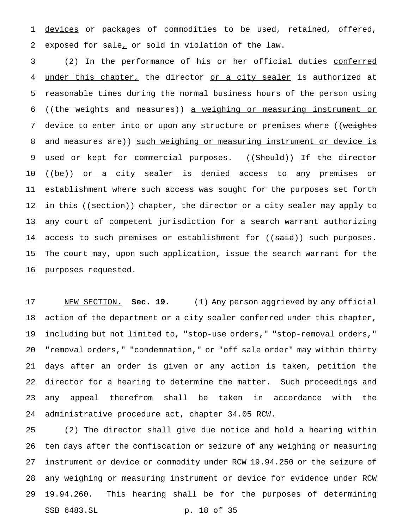1 devices or packages of commodities to be used, retained, offered, exposed for sale, or sold in violation of the law.

 (2) In the performance of his or her official duties conferred 4 under this chapter, the director or a city sealer is authorized at reasonable times during the normal business hours of the person using ((the weights and measures)) a weighing or measuring instrument or 7 device to enter into or upon any structure or premises where ((weights 8 and measures are)) such weighing or measuring instrument or device is 9 used or kept for commercial purposes. ((Should)) If the director 10 ((be)) or a city sealer is denied access to any premises or establishment where such access was sought for the purposes set forth 12 in this ((section)) chapter, the director <u>or a city sealer</u> may apply to any court of competent jurisdiction for a search warrant authorizing 14 access to such premises or establishment for ((<del>said</del>)) <u>such</u> purposes. The court may, upon such application, issue the search warrant for the purposes requested.

 NEW SECTION. **Sec. 19.** (1) Any person aggrieved by any official action of the department or a city sealer conferred under this chapter, including but not limited to, "stop-use orders," "stop-removal orders," "removal orders," "condemnation," or "off sale order" may within thirty days after an order is given or any action is taken, petition the director for a hearing to determine the matter. Such proceedings and any appeal therefrom shall be taken in accordance with the administrative procedure act, chapter 34.05 RCW.

 (2) The director shall give due notice and hold a hearing within ten days after the confiscation or seizure of any weighing or measuring instrument or device or commodity under RCW 19.94.250 or the seizure of any weighing or measuring instrument or device for evidence under RCW 19.94.260. This hearing shall be for the purposes of determining SSB 6483.SL p. 18 of 35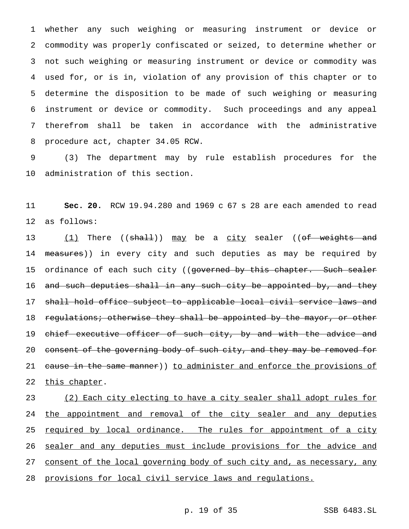whether any such weighing or measuring instrument or device or commodity was properly confiscated or seized, to determine whether or not such weighing or measuring instrument or device or commodity was used for, or is in, violation of any provision of this chapter or to determine the disposition to be made of such weighing or measuring instrument or device or commodity. Such proceedings and any appeal therefrom shall be taken in accordance with the administrative procedure act, chapter 34.05 RCW.

9 (3) The department may by rule establish procedures for the 10 administration of this section.

11 **Sec. 20.** RCW 19.94.280 and 1969 c 67 s 28 are each amended to read 12 as follows:

13 (1) There ((<del>shall</del>)) may be a city sealer ((<del>of weights and</del> 14 measures)) in every city and such deputies as may be required by 15 ordinance of each such city ((governed by this chapter. Such sealer 16 and such deputies shall in any such city be appointed by, and they 17 shall hold office subject to applicable local civil service laws and 18 regulations; otherwise they shall be appointed by the mayor, or other 19 chief executive officer of such city, by and with the advice and 20 consent of the governing body of such city, and they may be removed for 21 cause in the same manner)) to administer and enforce the provisions of 22 this chapter.

23 (2) Each city electing to have a city sealer shall adopt rules for 24 the appointment and removal of the city sealer and any deputies 25 required by local ordinance. The rules for appointment of a city 26 sealer and any deputies must include provisions for the advice and 27 consent of the local governing body of such city and, as necessary, any 28 provisions for local civil service laws and regulations.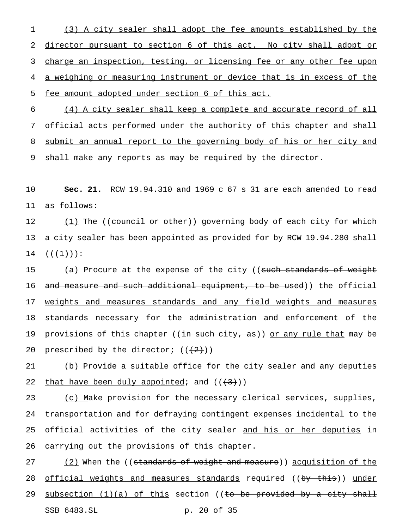1 (3) A city sealer shall adopt the fee amounts established by the 2 director pursuant to section 6 of this act. No city shall adopt or 3 charge an inspection, testing, or licensing fee or any other fee upon 4 a weighing or measuring instrument or device that is in excess of the 5 fee amount adopted under section 6 of this act.

 (4) A city sealer shall keep a complete and accurate record of all official acts performed under the authority of this chapter and shall submit an annual report to the governing body of his or her city and 9 shall make any reports as may be required by the director.

10 **Sec. 21.** RCW 19.94.310 and 1969 c 67 s 31 are each amended to read 11 as follows:

12 (1) The ((council or other)) governing body of each city for which 13 a city sealer has been appointed as provided for by RCW 19.94.280 shall 14  $((+1))$ :

15 (a) Procure at the expense of the city ((<del>such standards of weight</del> 16 and measure and such additional equipment, to be used)) the official 17 weights and measures standards and any field weights and measures 18 standards necessary for the administration and enforcement of the 19 provisions of this chapter ((in such city, as)) or any rule that may be 20 prescribed by the director;  $((2+))$ 

21 (b) Provide a suitable office for the city sealer and any deputies 22 that have been duly appointed; and  $((+3))$ 

23 (c) Make provision for the necessary clerical services, supplies, 24 transportation and for defraying contingent expenses incidental to the 25 official activities of the city sealer and his or her deputies in 26 carrying out the provisions of this chapter.

27 (2) When the ((standards of weight and measure)) acquisition of the 28 official weights and measures standards required ((by this)) under 29 subsection  $(1)(a)$  of this section ((to be provided by a city shall SSB 6483.SL p. 20 of 35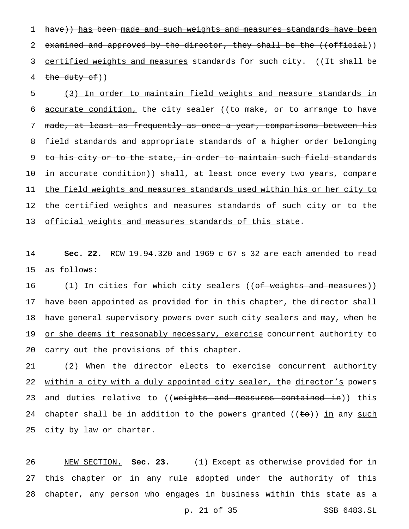1 have)) has been made and such weights and measures standards have been 2 examined and approved by the director, they shall be the ((official)) 3 certified weights and measures standards for such city. ((It shall be 4 the duty  $of)$ )

5 (3) In order to maintain field weights and measure standards in 6 accurate condition, the city sealer ((to make, or to arrange to have 7 made, at least as frequently as once a year, comparisons between his 8 field standards and appropriate standards of a higher order belonging 9 to his city or to the state, in order to maintain such field standards 10 in accurate condition)) shall, at least once every two years, compare 11 the field weights and measures standards used within his or her city to 12 the certified weights and measures standards of such city or to the 13 official weights and measures standards of this state.

14 **Sec. 22.** RCW 19.94.320 and 1969 c 67 s 32 are each amended to read 15 as follows:

16 (1) In cities for which city sealers ((of weights and measures)) 17 have been appointed as provided for in this chapter, the director shall 18 have general supervisory powers over such city sealers and may, when he 19 or she deems it reasonably necessary, exercise concurrent authority to 20 carry out the provisions of this chapter.

21 (2) When the director elects to exercise concurrent authority 22 within a city with a duly appointed city sealer, the director's powers 23 and duties relative to ((weights and measures contained in)) this 24 chapter shall be in addition to the powers granted  $((\pm \sigma))$  in any such 25 city by law or charter.

26 NEW SECTION. **Sec. 23.** (1) Except as otherwise provided for in 27 this chapter or in any rule adopted under the authority of this 28 chapter, any person who engages in business within this state as a

p. 21 of 35 SSB 6483.SL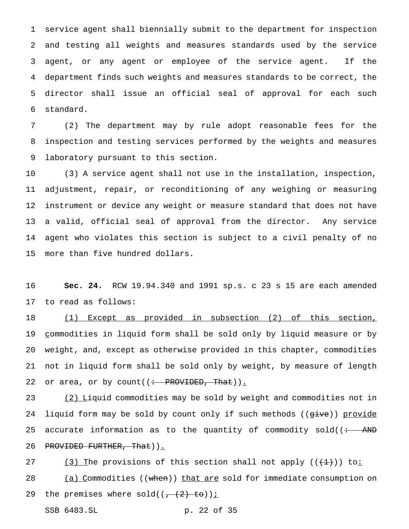service agent shall biennially submit to the department for inspection and testing all weights and measures standards used by the service agent, or any agent or employee of the service agent. If the department finds such weights and measures standards to be correct, the director shall issue an official seal of approval for each such standard.

 (2) The department may by rule adopt reasonable fees for the inspection and testing services performed by the weights and measures laboratory pursuant to this section.

 (3) A service agent shall not use in the installation, inspection, adjustment, repair, or reconditioning of any weighing or measuring instrument or device any weight or measure standard that does not have a valid, official seal of approval from the director. Any service agent who violates this section is subject to a civil penalty of no more than five hundred dollars.

 **Sec. 24.** RCW 19.94.340 and 1991 sp.s. c 23 s 15 are each amended to read as follows:

 (1) Except as provided in subsection (2) of this section, 19 commodities in liquid form shall be sold only by liquid measure or by weight, and, except as otherwise provided in this chapter, commodities not in liquid form shall be sold only by weight, by measure of length 22 or area, or by count( $\left(\div\text{ PROVIDED},\text{That}\right)$ ).

 (2) Liquid commodities may be sold by weight and commodities not in 24 liquid form may be sold by count only if such methods ((give)) provide 25 accurate information as to the quantity of commodity  $\text{solid}(\div - \text{AND})$ 26 PROVIDED FURTHER, That)).

27 (3) The provisions of this section shall not apply  $((+1))$  to: 28 (a) Commodities ((when)) that are sold for immediate consumption on 29 the premises where sold( $(-\frac{2}{3} + \frac{1}{10})i$ 

SSB 6483.SL p. 22 of 35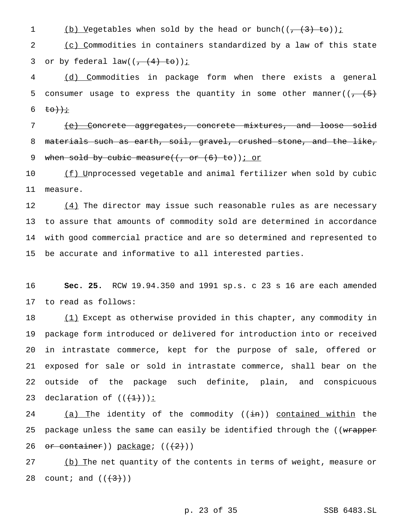1 (b) Vegetables when sold by the head or bunch( $(\frac{1}{1}, \frac{3}{1})$  to));

2 (c) Commodities in containers standardized by a law of this state 3 or by federal law( $(\frac{1}{1} + (4) + 50)$ ) i

4 (d) Commodities in package form when there exists a general 5 consumer usage to express the quantity in some other manner( $(\frac{1}{7}, \frac{1}{5})$ 6 to)) $\dot{t}$ 

7 (e) Concrete aggregates, concrete mixtures, and loose solid 8 materials such as earth, soil, gravel, crushed stone, and the like, 9 when sold by cubic measure( $($ , or  $(6)$  to)); or

10 (f) Unprocessed vegetable and animal fertilizer when sold by cubic 11 measure.

12 (4) The director may issue such reasonable rules as are necessary to assure that amounts of commodity sold are determined in accordance with good commercial practice and are so determined and represented to be accurate and informative to all interested parties.

16 **Sec. 25.** RCW 19.94.350 and 1991 sp.s. c 23 s 16 are each amended 17 to read as follows:

18 (1) Except as otherwise provided in this chapter, any commodity in package form introduced or delivered for introduction into or received in intrastate commerce, kept for the purpose of sale, offered or exposed for sale or sold in intrastate commerce, shall bear on the outside of the package such definite, plain, and conspicuous 23 declaration of  $((+1))$ :

24  $(a)$  The identity of the commodity ((in)) contained within the 25 package unless the same can easily be identified through the ((wrapper 26 or container)) package;  $((2))$ 

27 (b) The net quantity of the contents in terms of weight, measure or 28 count; and  $((+3))$ 

p. 23 of 35 SSB 6483.SL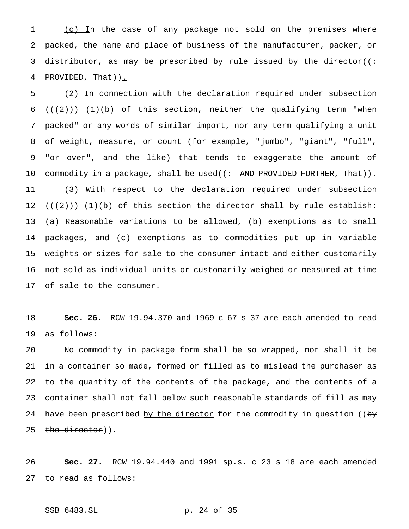1 (c) In the case of any package not sold on the premises where packed, the name and place of business of the manufacturer, packer, or 3 distributor, as may be prescribed by rule issued by the director( $($ : 4 PROVIDED, That)).

 (2) In connection with the declaration required under subsection 6 ( $(\frac{1}{2})$ ) (1)(b) of this section, neither the qualifying term "when packed" or any words of similar import, nor any term qualifying a unit of weight, measure, or count (for example, "jumbo", "giant", "full", "or over", and the like) that tends to exaggerate the amount of 10 commodity in a package, shall be used((<del>: AND PROVIDED FURTHER, That</del>))<u>.</u> 11 (3) With respect to the declaration required under subsection  $((+2))$   $(1)(b)$  of this section the director shall by rule establish: 13 (a) Reasonable variations to be allowed, (b) exemptions as to small packages, and (c) exemptions as to commodities put up in variable weights or sizes for sale to the consumer intact and either customarily not sold as individual units or customarily weighed or measured at time of sale to the consumer.

 **Sec. 26.** RCW 19.94.370 and 1969 c 67 s 37 are each amended to read as follows:

 No commodity in package form shall be so wrapped, nor shall it be in a container so made, formed or filled as to mislead the purchaser as to the quantity of the contents of the package, and the contents of a container shall not fall below such reasonable standards of fill as may 24 have been prescribed by the director for the commodity in question ((by 25 the director)).

 **Sec. 27.** RCW 19.94.440 and 1991 sp.s. c 23 s 18 are each amended to read as follows:

SSB 6483.SL p. 24 of 35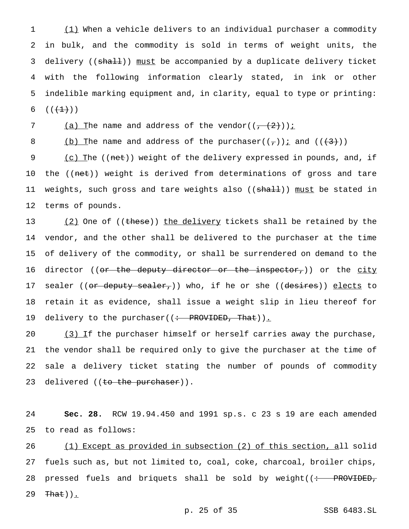(1) When a vehicle delivers to an individual purchaser a commodity in bulk, and the commodity is sold in terms of weight units, the 3 delivery ((shall)) must be accompanied by a duplicate delivery ticket with the following information clearly stated, in ink or other indelible marking equipment and, in clarity, equal to type or printing:  $((+1)^{n})$ 

7 (a) The name and address of the vendor( $(\frac{2}{1}, \frac{2}{2})$ ) i

8 (b) The name and address of the purchaser( $(\tau)$ ) i and ( $(\langle 3\rangle)$ )

9 (c) The ((net)) weight of the delivery expressed in pounds, and, if 10 the ((net)) weight is derived from determinations of gross and tare 11 weights, such gross and tare weights also ((shall)) must be stated in 12 terms of pounds.

13 (2) One of ((these)) the delivery tickets shall be retained by the 14 vendor, and the other shall be delivered to the purchaser at the time 15 of delivery of the commodity, or shall be surrendered on demand to the 16 director ((<del>or the deputy director or the inspector,</del>)) or the city 17 sealer ((or deputy sealer,)) who, if he or she ((desires)) elects to 18 retain it as evidence, shall issue a weight slip in lieu thereof for 19 delivery to the purchaser((: PROVIDED, That)).

 $(3)$  If the purchaser himself or herself carries away the purchase, the vendor shall be required only to give the purchaser at the time of sale a delivery ticket stating the number of pounds of commodity 23 delivered ((to the purchaser)).

24 **Sec. 28.** RCW 19.94.450 and 1991 sp.s. c 23 s 19 are each amended 25 to read as follows:

26 (1) Except as provided in subsection (2) of this section, all solid 27 fuels such as, but not limited to, coal, coke, charcoal, broiler chips, 28 pressed fuels and briquets shall be sold by weight( $\left( \div \quad \text{PROVIDED}_{\tau} \right)$ 29  $\text{That})$ .

p. 25 of 35 SSB 6483.SL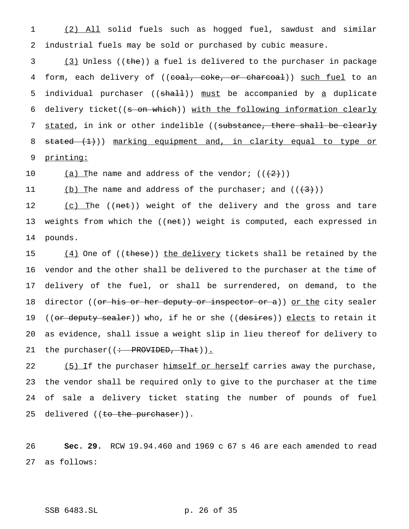1 (2) All solid fuels such as hogged fuel, sawdust and similar 2 industrial fuels may be sold or purchased by cubic measure.

3 (3) Unless ((the)) a fuel is delivered to the purchaser in package 4 form, each delivery of ((coal, coke, or charcoal)) such fuel to an 5 individual purchaser ((shall)) must be accompanied by <u>a</u> duplicate 6 delivery ticket((s on which)) with the following information clearly 7 stated, in ink or other indelible ((substance, there shall be clearly 8 stated (1))) marking equipment and, in clarity equal to type or 9 printing:

10 (a) The name and address of the vendor;  $((2))$ 

11 (b) The name and address of the purchaser; and  $((+3))$ 

12 (c) The ((net)) weight of the delivery and the gross and tare 13 weights from which the ((net)) weight is computed, each expressed in 14 pounds.

15 (4) One of ((these)) the delivery tickets shall be retained by the 16 vendor and the other shall be delivered to the purchaser at the time of 17 delivery of the fuel, or shall be surrendered, on demand, to the 18 director ((or his or her deputy or inspector or a)) or the city sealer 19 ((or deputy sealer)) who, if he or she ((desires)) elects to retain it 20 as evidence, shall issue a weight slip in lieu thereof for delivery to 21 the purchaser((: PROVIDED, That)).

22 (5) If the purchaser himself or herself carries away the purchase, 23 the vendor shall be required only to give to the purchaser at the time 24 of sale a delivery ticket stating the number of pounds of fuel 25 delivered ((<del>to the purchaser</del>)).

26 **Sec. 29.** RCW 19.94.460 and 1969 c 67 s 46 are each amended to read 27 as follows:

SSB 6483.SL p. 26 of 35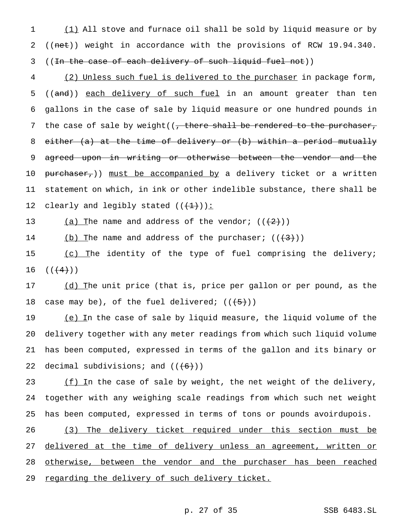1 (1) All stove and furnace oil shall be sold by liquid measure or by 2 ((net)) weight in accordance with the provisions of RCW 19.94.340. 3 ((<del>In the case of each delivery of such liquid fuel not</del>))

4 (2) Unless such fuel is delivered to the purchaser in package form, 5 ((and)) each delivery of such fuel in an amount greater than ten 6 gallons in the case of sale by liquid measure or one hundred pounds in 7 the case of sale by weight( $($ , there shall be rendered to the purchaser, 8 either (a) at the time of delivery or (b) within a period mutually 9 agreed upon in writing or otherwise between the vendor and the 10 purchaser,)) must be accompanied by a delivery ticket or a written 11 statement on which, in ink or other indelible substance, there shall be 12 clearly and legibly stated  $((+1))$ :

13 (a) The name and address of the vendor;  $((2+))$ 

14 (b) The name and address of the purchaser;  $((+3))$ 

15 (c) The identity of the type of fuel comprising the delivery; 16  $((+4)$ )

17 (d) The unit price (that is, price per gallon or per pound, as the 18 case may be), of the fuel delivered;  $((\frac{1}{5})^2)$ 

19 (e) In the case of sale by liquid measure, the liquid volume of the 20 delivery together with any meter readings from which such liquid volume 21 has been computed, expressed in terms of the gallon and its binary or 22 decimal subdivisions; and  $((+6))$ 

23  $(f)$  In the case of sale by weight, the net weight of the delivery, 24 together with any weighing scale readings from which such net weight 25 has been computed, expressed in terms of tons or pounds avoirdupois.

26 (3) The delivery ticket required under this section must be 27 delivered at the time of delivery unless an agreement, written or 28 otherwise, between the vendor and the purchaser has been reached 29 regarding the delivery of such delivery ticket.

## p. 27 of 35 SSB 6483.SL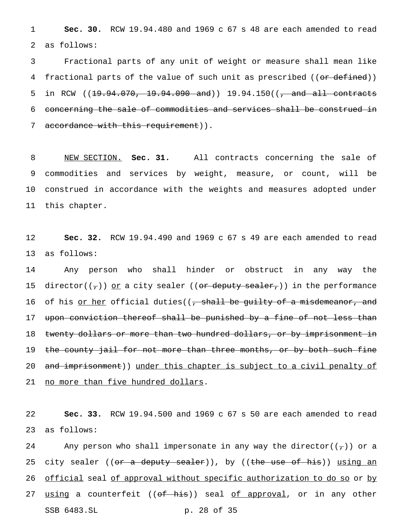1 **Sec. 30.** RCW 19.94.480 and 1969 c 67 s 48 are each amended to read 2 as follows:

3 Fractional parts of any unit of weight or measure shall mean like 4 fractional parts of the value of such unit as prescribed ((or defined)) 5 in RCW ((<del>19.94.070, 19.94.090 and</del>)) 19.94.150((<del>, and all contracts</del> 6 concerning the sale of commodities and services shall be construed in 7 accordance with this requirement)).

 NEW SECTION. **Sec. 31.** All contracts concerning the sale of commodities and services by weight, measure, or count, will be construed in accordance with the weights and measures adopted under this chapter.

12 **Sec. 32.** RCW 19.94.490 and 1969 c 67 s 49 are each amended to read 13 as follows:

14 Any person who shall hinder or obstruct in any way the 15 director( $(\tau)$ ) or a city sealer ((or deputy sealer,)) in the performance 16 of his <u>or her</u> official duties((<del>, shall be guilty of a misdemeanor, and</del> 17 upon conviction thereof shall be punished by a fine of not less than 18 twenty dollars or more than two hundred dollars, or by imprisonment in 19 the county jail for not more than three months, or by both such fine 20 and imprisonment)) under this chapter is subject to a civil penalty of 21 no more than five hundred dollars.

22 **Sec. 33.** RCW 19.94.500 and 1969 c 67 s 50 are each amended to read 23 as follows:

24 Any person who shall impersonate in any way the director( $(\tau)$ ) or a 25 city sealer ((or a deputy sealer)), by ((the use of his)) using an 26 official seal of approval without specific authorization to do so or by 27 <u>using</u> a counterfeit ((<del>of his</del>)) seal <u>of approval</u>, or in any other SSB 6483.SL p. 28 of 35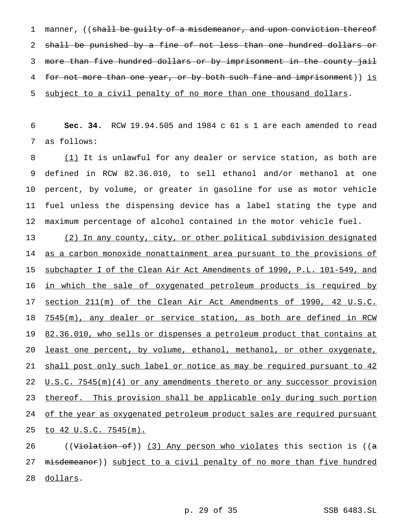1 manner, ((shall be guilty of a misdemeanor, and upon conviction thereof 2 shall be punished by a fine of not less than one hundred dollars or 3 more than five hundred dollars or by imprisonment in the county jail 4 for not more than one year, or by both such fine and imprisonment)) is 5 subject to a civil penalty of no more than one thousand dollars.

6 **Sec. 34.** RCW 19.94.505 and 1984 c 61 s 1 are each amended to read 7 as follows:

8 (1) It is unlawful for any dealer or service station, as both are defined in RCW 82.36.010, to sell ethanol and/or methanol at one percent, by volume, or greater in gasoline for use as motor vehicle fuel unless the dispensing device has a label stating the type and maximum percentage of alcohol contained in the motor vehicle fuel.

13 (2) In any county, city, or other political subdivision designated 14 as a carbon monoxide nonattainment area pursuant to the provisions of 15 subchapter I of the Clean Air Act Amendments of 1990, P.L. 101-549, and 16 in which the sale of oxygenated petroleum products is required by 17 section 211(m) of the Clean Air Act Amendments of 1990, 42 U.S.C. 18 7545(m), any dealer or service station, as both are defined in RCW 19 82.36.010, who sells or dispenses a petroleum product that contains at 20 least one percent, by volume, ethanol, methanol, or other oxygenate, 21 shall post only such label or notice as may be required pursuant to 42 22 U.S.C. 7545(m)(4) or any amendments thereto or any successor provision 23 thereof. This provision shall be applicable only during such portion 24 of the year as oxygenated petroleum product sales are required pursuant 25 to 42 U.S.C. 7545(m).

26 ((Violation of)) (3) Any person who violates this section is ((a 27 misdemeanor)) subject to a civil penalty of no more than five hundred 28 dollars.

p. 29 of 35 SSB 6483.SL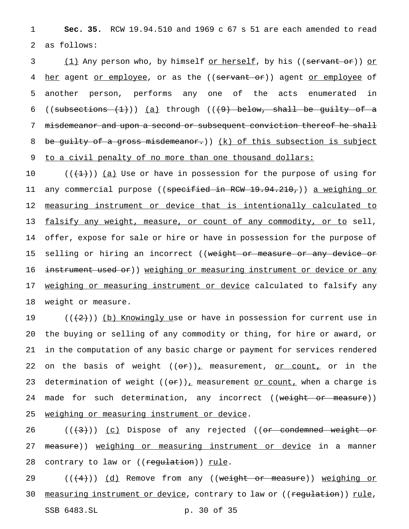1 **Sec. 35.** RCW 19.94.510 and 1969 c 67 s 51 are each amended to read 2 as follows:

3 (1) Any person who, by himself <u>or herself</u>, by his ((<del>servant or</del>)) or 4 her agent or employee, or as the ((servant or)) agent or employee of 5 another person, performs any one of the acts enumerated in 6 ((subsections  $(1)$ )) (a) through (( $+9$ ) below, shall be guilty of a 7 misdemeanor and upon a second or subsequent conviction thereof he shall 8 be guilty of a gross misdemeanor.)) (k) of this subsection is subject 9 to a civil penalty of no more than one thousand dollars:

10  $((+1))$  (a) Use or have in possession for the purpose of using for 11 any commercial purpose ((s<del>pecified in RCW 19.94.210,</del>)) <u>a weighing or</u> 12 measuring instrument or device that is intentionally calculated to 13 falsify any weight, measure, or count of any commodity, or to sell, 14 offer, expose for sale or hire or have in possession for the purpose of 15 selling or hiring an incorrect ((<del>weight or measure or any device or</del> 16 instrument used or)) weighing or measuring instrument or device or any 17 weighing or measuring instrument or device calculated to falsify any 18 weight or measure.

19 ( $(\langle 2 \rangle)$ ) (b) Knowingly use or have in possession for current use in 20 the buying or selling of any commodity or thing, for hire or award, or 21 in the computation of any basic charge or payment for services rendered 22 on the basis of weight  $((\theta \hat{r}))_+$  measurement, or count, or in the 23 determination of weight  $((or))_r$  measurement or count, when a charge is 24 made for such determination, any incorrect ((weight or measure)) 25 weighing or measuring instrument or device.

26 ((<del>(3)</del>)) <u>(c)</u> Dispose of any rejected ((<del>or condemned weight or</del> 27 measure)) weighing or measuring instrument or device in a manner 28 contrary to law or ((regulation)) rule.

29 (((4))) (d) Remove from any ((weight or measure)) weighing or 30 measuring instrument or device, contrary to law or ((regulation)) rule, SSB 6483.SL p. 30 of 35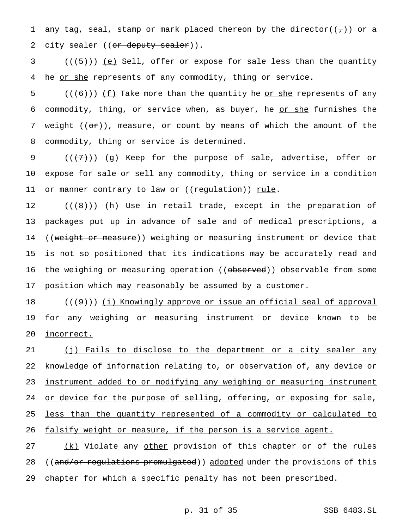1 any tag, seal, stamp or mark placed thereon by the director( $(\tau)$ ) or a 2 city sealer ((or deputy sealer)).

 $3$  (( $(5)$ )) (e) Sell, offer or expose for sale less than the quantity 4 he or she represents of any commodity, thing or service.

5  $((+6))$  (f) Take more than the quantity he <u>or she</u> represents of any 6 commodity, thing, or service when, as buyer, he or she furnishes the 7 weight  $((\theta \cdot \hat{r}))$  measure, or count by means of which the amount of the 8 commodity, thing or service is determined.

9 (((7)) (g) Keep for the purpose of sale, advertise, offer or 10 expose for sale or sell any commodity, thing or service in a condition 11 or manner contrary to law or ((regulation)) rule.

 $((+8))$  ( $(h)$  Use in retail trade, except in the preparation of packages put up in advance of sale and of medical prescriptions, a 14 ((weight or measure)) weighing or measuring instrument or device that is not so positioned that its indications may be accurately read and 16 the weighing or measuring operation ((<del>observed</del>)) <u>observable</u> from some position which may reasonably be assumed by a customer.

18 (((9))) (i) Knowingly approve or issue an official seal of approval 19 for any weighing or measuring instrument or device known to be 20 incorrect.

 (j) Fails to disclose to the department or a city sealer any knowledge of information relating to, or observation of, any device or 23 instrument added to or modifying any weighing or measuring instrument 24 or device for the purpose of selling, offering, or exposing for sale, less than the quantity represented of a commodity or calculated to falsify weight or measure, if the person is a service agent.

27 (k) Violate any other provision of this chapter or of the rules 28 ((and/or regulations promulgated)) adopted under the provisions of this 29 chapter for which a specific penalty has not been prescribed.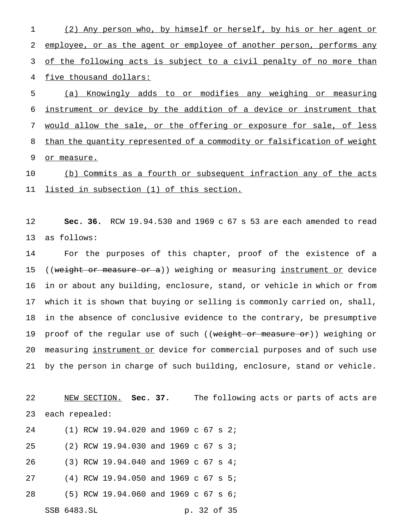(2) Any person who, by himself or herself, by his or her agent or employee, or as the agent or employee of another person, performs any 3 of the following acts is subject to a civil penalty of no more than five thousand dollars:

 (a) Knowingly adds to or modifies any weighing or measuring instrument or device by the addition of a device or instrument that would allow the sale, or the offering or exposure for sale, of less 8 than the quantity represented of a commodity or falsification of weight 9 or measure.

 (b) Commits as a fourth or subsequent infraction any of the acts listed in subsection (1) of this section.

 **Sec. 36.** RCW 19.94.530 and 1969 c 67 s 53 are each amended to read as follows:

 For the purposes of this chapter, proof of the existence of a 15 ((weight or measure or a)) weighing or measuring instrument or device in or about any building, enclosure, stand, or vehicle in which or from which it is shown that buying or selling is commonly carried on, shall, in the absence of conclusive evidence to the contrary, be presumptive 19 proof of the regular use of such ((weight or measure or)) weighing or measuring instrument or device for commercial purposes and of such use by the person in charge of such building, enclosure, stand or vehicle.

 NEW SECTION. **Sec. 37.** The following acts or parts of acts are each repealed:

 (1) RCW 19.94.020 and 1969 c 67 s 2; (2) RCW 19.94.030 and 1969 c 67 s 3; (3) RCW 19.94.040 and 1969 c 67 s 4; (4) RCW 19.94.050 and 1969 c 67 s 5; (5) RCW 19.94.060 and 1969 c 67 s 6; SSB 6483.SL p. 32 of 35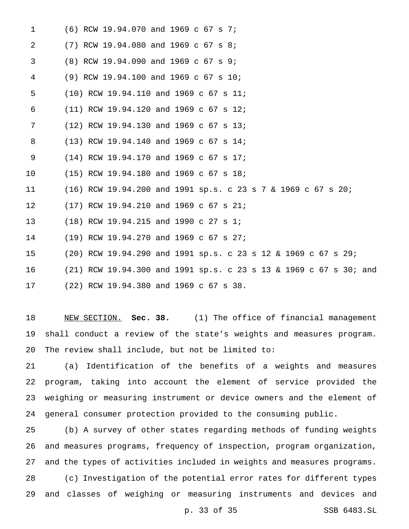| 1  | (6) RCW 19.94.070 and 1969 c 67 s 7;                              |
|----|-------------------------------------------------------------------|
| 2  | $(7)$ RCW 19.94.080 and 1969 c 67 s 8;                            |
| 3  | (8) RCW 19.94.090 and 1969 c 67 s 9;                              |
| 4  | (9) RCW 19.94.100 and 1969 c 67 s 10;                             |
| 5  | $(10)$ RCW 19.94.110 and 1969 c 67 s 11;                          |
| 6  | (11) RCW 19.94.120 and 1969 c 67 s 12;                            |
| 7  | $(12)$ RCW 19.94.130 and 1969 c 67 s 13;                          |
| 8  | (13) RCW 19.94.140 and 1969 c 67 s 14;                            |
| 9  | (14) RCW 19.94.170 and 1969 c 67 s 17;                            |
| 10 | (15) RCW 19.94.180 and 1969 c 67 s 18;                            |
| 11 | $(16)$ RCW 19.94.200 and 1991 sp.s. c 23 s 7 & 1969 c 67 s 20;    |
| 12 | (17) RCW 19.94.210 and 1969 c 67 s 21;                            |
| 13 | (18) RCW 19.94.215 and 1990 c 27 s 1;                             |
| 14 | (19) RCW 19.94.270 and 1969 c 67 s 27;                            |
| 15 | (20) RCW 19.94.290 and 1991 sp.s. c 23 s 12 & 1969 c 67 s 29;     |
| 16 | (21) RCW 19.94.300 and 1991 sp.s. c 23 s 13 & 1969 c 67 s 30; and |
| 17 | (22) RCW 19.94.380 and 1969 c 67 s 38.                            |

 NEW SECTION. **Sec. 38.** (1) The office of financial management shall conduct a review of the state's weights and measures program. The review shall include, but not be limited to:

 (a) Identification of the benefits of a weights and measures program, taking into account the element of service provided the weighing or measuring instrument or device owners and the element of general consumer protection provided to the consuming public.

 (b) A survey of other states regarding methods of funding weights and measures programs, frequency of inspection, program organization, and the types of activities included in weights and measures programs. (c) Investigation of the potential error rates for different types and classes of weighing or measuring instruments and devices and

p. 33 of 35 SSB 6483.SL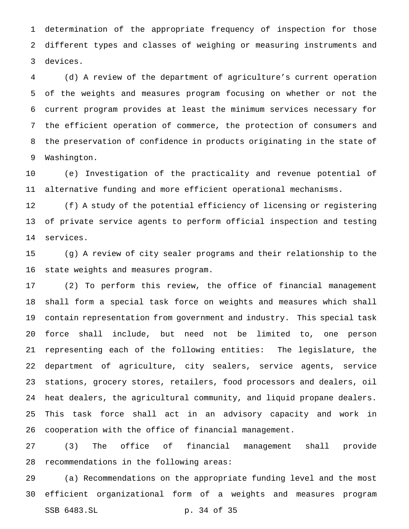determination of the appropriate frequency of inspection for those different types and classes of weighing or measuring instruments and devices.

 (d) A review of the department of agriculture's current operation of the weights and measures program focusing on whether or not the current program provides at least the minimum services necessary for the efficient operation of commerce, the protection of consumers and the preservation of confidence in products originating in the state of Washington.

 (e) Investigation of the practicality and revenue potential of alternative funding and more efficient operational mechanisms.

 (f) A study of the potential efficiency of licensing or registering of private service agents to perform official inspection and testing services.

 (g) A review of city sealer programs and their relationship to the state weights and measures program.

 (2) To perform this review, the office of financial management shall form a special task force on weights and measures which shall contain representation from government and industry. This special task force shall include, but need not be limited to, one person representing each of the following entities: The legislature, the department of agriculture, city sealers, service agents, service stations, grocery stores, retailers, food processors and dealers, oil heat dealers, the agricultural community, and liquid propane dealers. This task force shall act in an advisory capacity and work in cooperation with the office of financial management.

 (3) The office of financial management shall provide recommendations in the following areas:

 (a) Recommendations on the appropriate funding level and the most efficient organizational form of a weights and measures program SSB 6483.SL p. 34 of 35